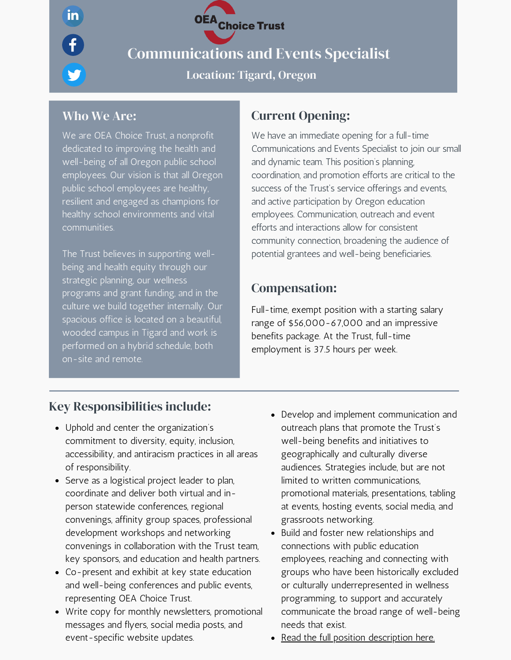Communications and Events Specialist

Location: Tigard, Oregon

OEA<br>Choice Trust

 $\mathbf{in}$ 

 $\boldsymbol{\theta}$ 

We are OEA Choice Trust, a nonprofit dedicated to improving the health and well-being of all Oregon public school employees. Our vision is that all Oregon public school employees are healthy, resilient and engaged as champions for healthy school environments and vital communities.

The Trust believes in supporting wellbeing and health equity through our strategic planning, our wellness programs and grant funding, and in the culture we build together internally. Our spacious office is located on a beautiful, wooded campus in Tigard and work is performed on a hybrid schedule, both on-site and remote.

## Who We Are: Current Opening:

We have an immediate opening for a full-time Communications and Events Specialist to join our small and dynamic team. This position's planning, coordination, and promotion efforts are critical to the success of the Trust's service offerings and events, and active participation by Oregon education employees. Communication, outreach and event efforts and interactions allow for consistent community connection, broadening the audience of potential grantees and well-being beneficiaries.

## Compensation:

Full-time, exempt position with a starting salary range of \$56,000-67,000 and an impressive benefits package. At the Trust, full-time employment is 37.5 hours per week.

## Key Responsibilities include:

- Uphold and center the organization's commitment to diversity, equity, inclusion, accessibility, and antiracism practices in all areas of responsibility.
- Serve as a logistical project leader to plan, coordinate and deliver both virtual and inperson statewide conferences, regional convenings, affinity group spaces, professional development workshops and networking convenings in collaboration with the Trust team, key sponsors, and education and health partners.
- Co-present and exhibit at key state education and well-being conferences and public events, representing OEA Choice Trust.
- Write copy for monthly newsletters, promotional messages and flyers, social media posts, and event-specific website updates.
- Develop and implement communication and outreach plans that promote the Trust's well-being benefits and initiatives to geographically and culturally diverse audiences. Strategies include, but are not limited to written communications, promotional materials, presentations, tabling at events, hosting events, social media, and grassroots networking.
- Build and foster new relationships and connections with public education employees, reaching and connecting with groups who have been historically excluded or culturally underrepresented in wellness programming, to support and accurately communicate the broad range of well-being needs that exist.
- Read the full position [description](https://oeachoice.com/wp-content/uploads/2022/05/Communications-and-Events-Specialist-Job-Description-FINAL-for-Website-PDF.pdf) here.